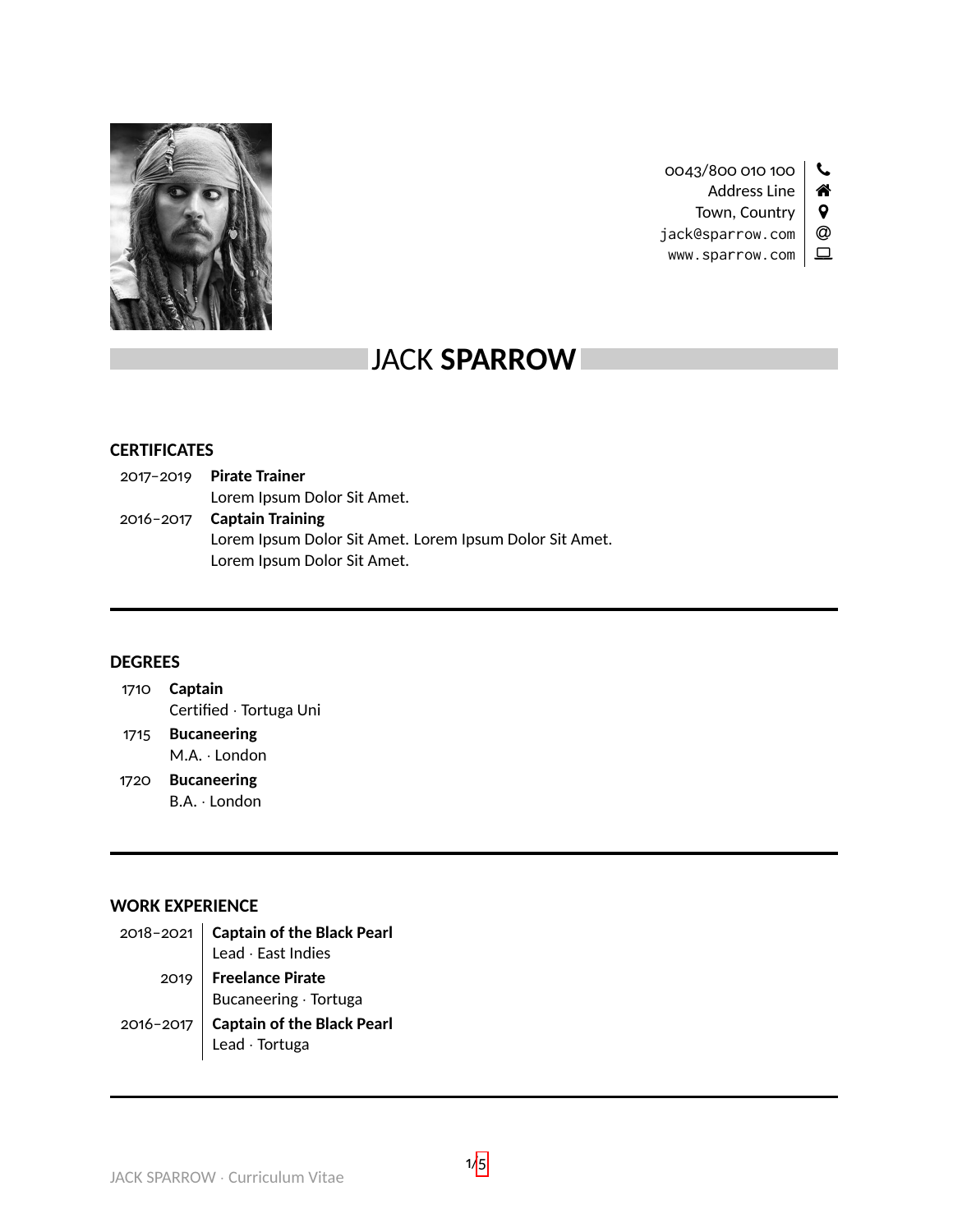

0043/800 010 100 \ Address Line | 4 Town, Country  $\vert \mathbf{\Theta} \vert$ 

jack@sparrow.com | @  $www.sparrow.com \mid \Box$ 

# JACK **SPARROW**

## **CERTIFICATES**

| $2017 - 2019$ Pirate Trainer                            |
|---------------------------------------------------------|
| Lorem Ipsum Dolor Sit Amet.                             |
| 2016-2017 Captain Training                              |
| Lorem Ipsum Dolor Sit Amet. Lorem Ipsum Dolor Sit Amet. |
| Lorem Ipsum Dolor Sit Amet.                             |

#### **DEGREES**

| 1710 Captain            |
|-------------------------|
| Certified · Tortuga Uni |
|                         |

- 1715 **Bucaneering** M.A. · London
- 1720 **Bucaneering** B.A. · London

## **WORK EXPERIENCE**

|           | 2018-2021   Captain of the Black Pearl       |
|-----------|----------------------------------------------|
|           | Lead $\cdot$ East Indies                     |
|           | 2019   Freelance Pirate                      |
|           | Bucaneering · Tortuga                        |
| 2016-2017 | Captain of the Black Pearl<br>Lead · Tortuga |
|           |                                              |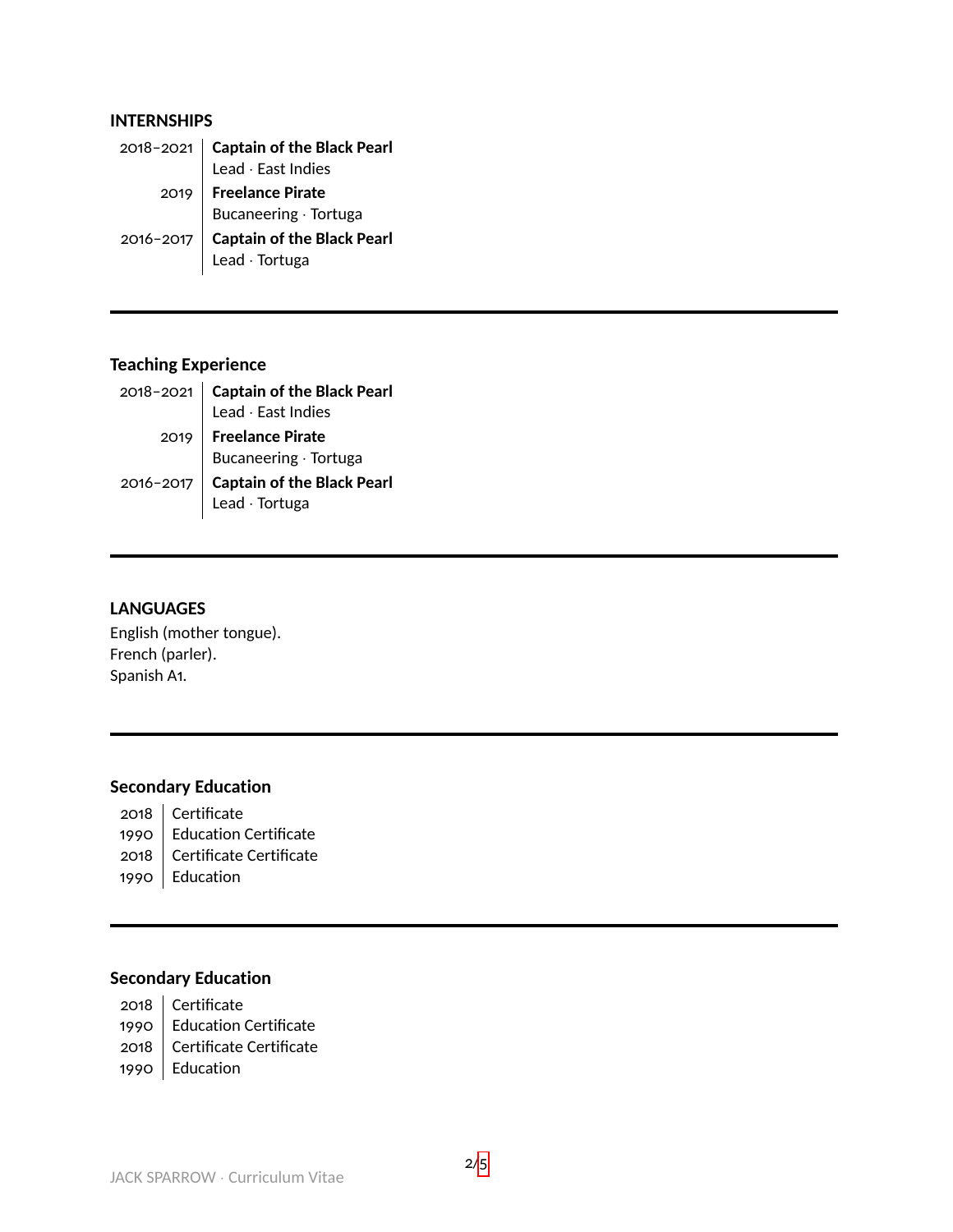#### **INTERNSHIPS**

| 2018-2021 <b>Captain of the Black Pearl</b><br>Lead $\cdot$ East Indies |
|-------------------------------------------------------------------------|
| 2019   Freelance Pirate<br>  Bucaneering · Tortuga                      |
|                                                                         |
|                                                                         |
| 2016-2017 <b>Captain of the Black Pearl</b><br>Lead $\cdot$ Tortuga     |

# **Teaching Experience**

|               | 2018-2021 <b>Captain of the Black Pearl</b><br>Lead $\cdot$ East Indies |
|---------------|-------------------------------------------------------------------------|
|               | 2019   Freelance Pirate<br>  Bucaneering · Tortuga                      |
|               |                                                                         |
| $2016 - 2017$ |                                                                         |
|               | صورت کے مطابق اور Captain of the Black Pearl<br>Lead · Tortuga          |

# **LANGUAGES**

English (mother tongue). French (parler). Spanish A1.

# **Secondary Education**

- 2018 | Certificate
- 1990 | Education Certificate
- 2018 | Certificate Certificate
- 1990 Education

# **Secondary Education**

- 2018 | Certificate
- 1990 | Education Certificate
- 2018 Certificate Certificate
- 1990 Education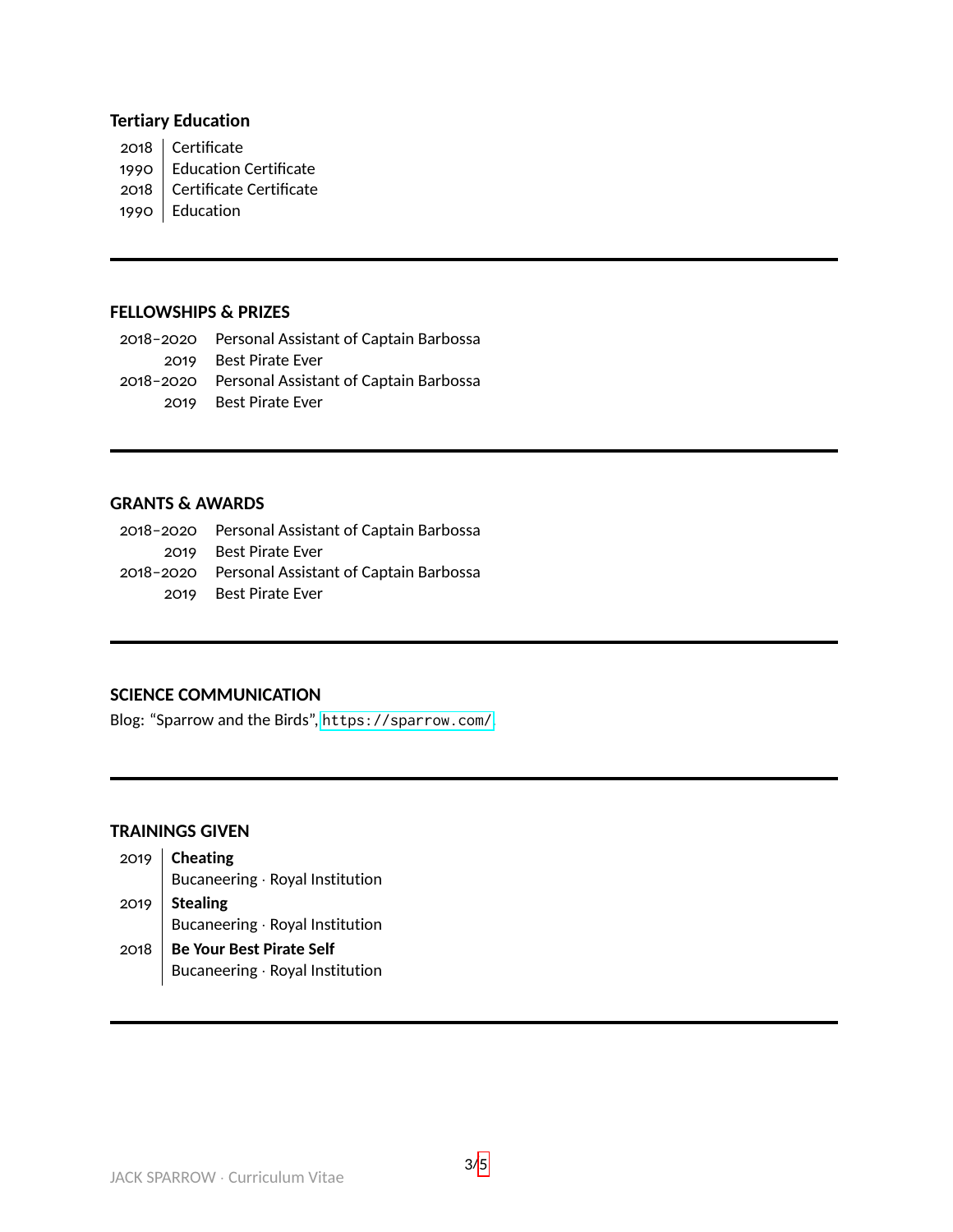## **Tertiary Education**

2018 | Certificate

- 1990 Education Certificate
- 2018 Certificate Certificate
- 1990 Education

#### **FELLOWSHIPS & PRIZES**

2018–2020 Personal Assistant of Captain Barbossa 2019 Best Pirate Ever 2018–2020 Personal Assistant of Captain Barbossa 2019 Best Pirate Ever

### **GRANTS & AWARDS**

2018–2020 Personal Assistant of Captain Barbossa 2019 Best Pirate Ever 2018–2020 Personal Assistant of Captain Barbossa 2019 Best Pirate Ever

#### **SCIENCE COMMUNICATION**

Blog: "Sparrow and the Birds", <https://sparrow.com/>.

#### **TRAININGS GIVEN**

| 2019   Cheating<br>Bucaneering · Royal Institution |
|----------------------------------------------------|
| 2019 Stealing<br>Bucaneering · Royal Institution   |
|                                                    |
| 2018   Be Your Best Pirate Self                    |

Bucaneering · Royal Institution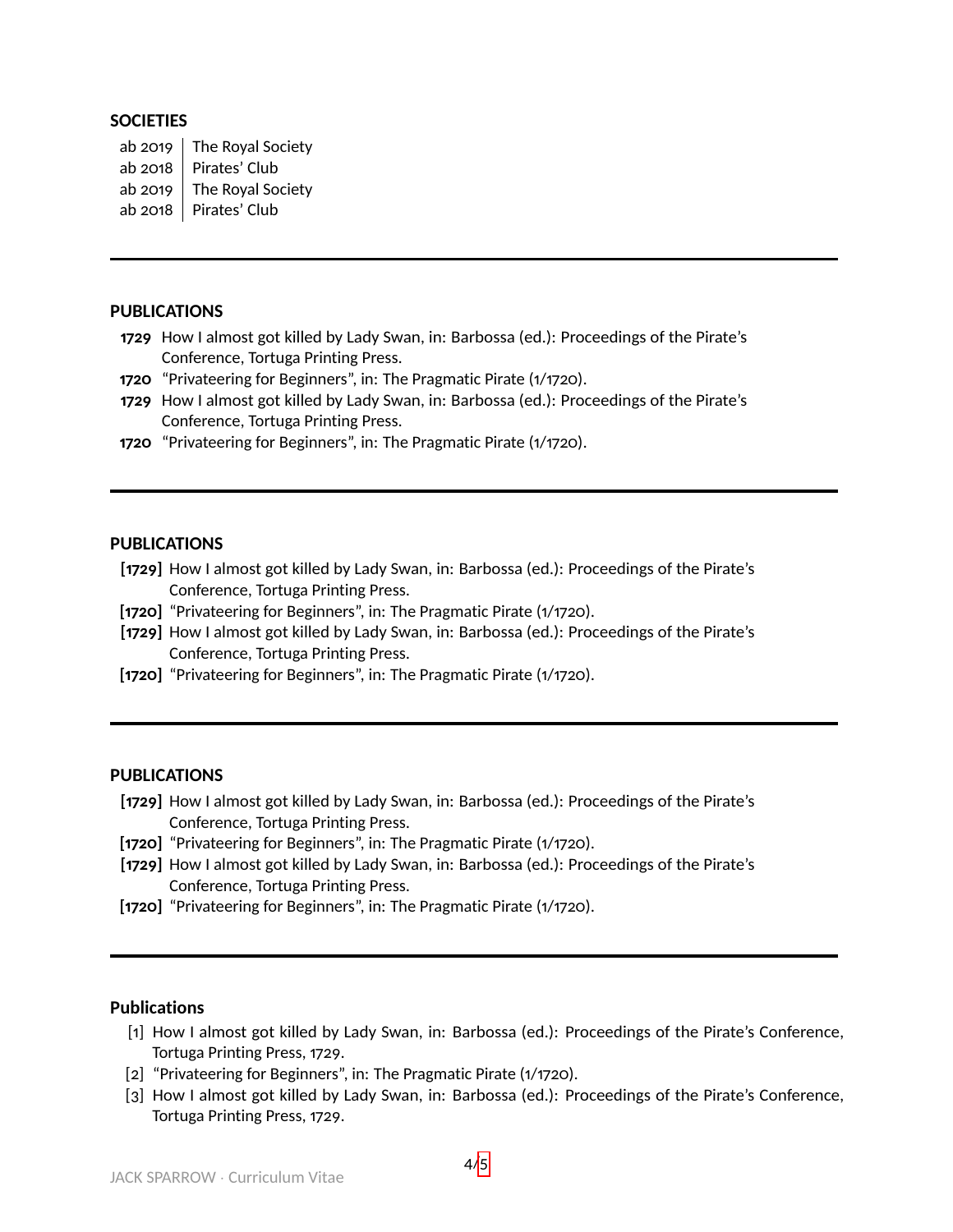#### **SOCIETIES**

ab 2019  $\parallel$  The Royal Society ab 2018  $\parallel$  Pirates' Club ab 2019  $\vert$  The Royal Society ab 2018 | Pirates' Club

# **PUBLICATIONS**

- **1729** How I almost got killed by Lady Swan, in: Barbossa (ed.): Proceedings of the Pirate's Conference, Tortuga Printing Press.
- **1720** "Privateering for Beginners", in: The Pragmatic Pirate (1/1720).
- **1729** How I almost got killed by Lady Swan, in: Barbossa (ed.): Proceedings of the Pirate's Conference, Tortuga Printing Press.
- **1720** "Privateering for Beginners", in: The Pragmatic Pirate (1/1720).

#### **PUBLICATIONS**

- **[1729]** How I almost got killed by Lady Swan, in: Barbossa (ed.): Proceedings of the Pirate's Conference, Tortuga Printing Press.
- **[1720]** "Privateering for Beginners", in: The Pragmatic Pirate (1/1720).
- **[1729]** How I almost got killed by Lady Swan, in: Barbossa (ed.): Proceedings of the Pirate's Conference, Tortuga Printing Press.
- [1720] "Privateering for Beginners", in: The Pragmatic Pirate (1/1720).

#### **PUBLICATIONS**

- **[1729]** How I almost got killed by Lady Swan, in: Barbossa (ed.): Proceedings of the Pirate's Conference, Tortuga Printing Press.
- **[1720]** "Privateering for Beginners", in: The Pragmatic Pirate (1/1720).
- **[1729]** How I almost got killed by Lady Swan, in: Barbossa (ed.): Proceedings of the Pirate's Conference, Tortuga Printing Press.
- [1720] "Privateering for Beginners", in: The Pragmatic Pirate (1/1720).

#### **Publications**

- [1] How I almost got killed by Lady Swan, in: Barbossa (ed.): Proceedings of the Pirate's Conference, Tortuga Printing Press, 1729.
- [2] "Privateering for Beginners", in: The Pragmatic Pirate (1/1720).
- [3] How I almost got killed by Lady Swan, in: Barbossa (ed.): Proceedings of the Pirate's Conference, Tortuga Printing Press, 1729.